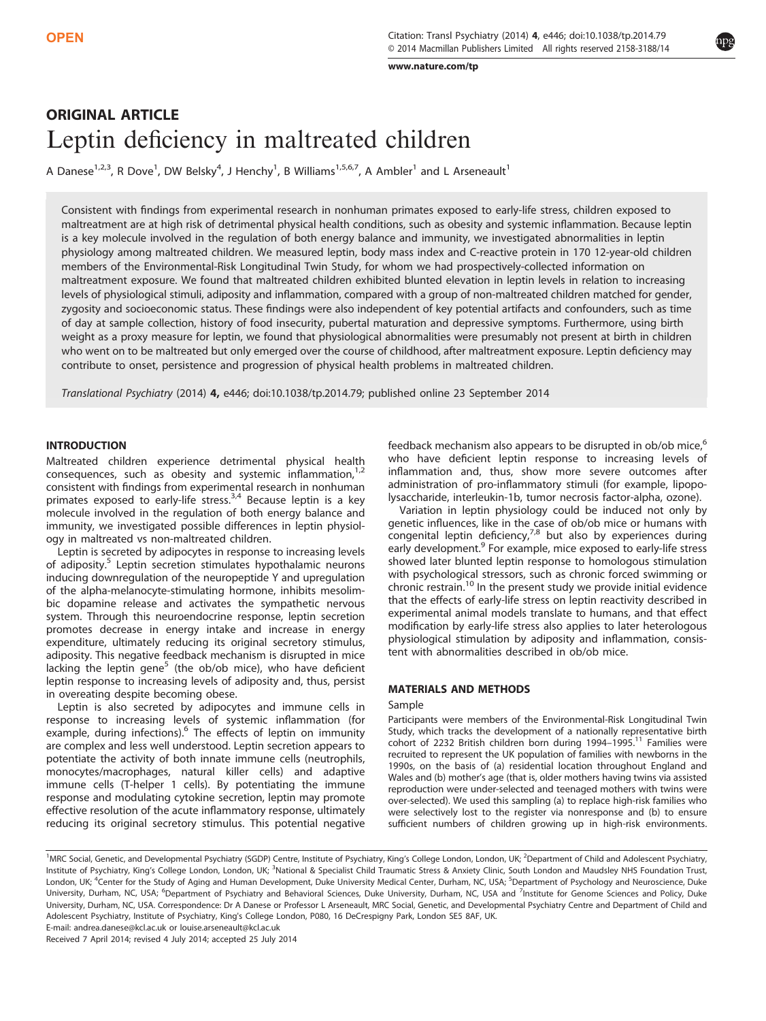[www.nature.com/tp](http://www.nature.com/tp)

# ORIGINAL ARTICLE Leptin deficiency in maltreated children

A Danese<sup>1,2,3</sup>, R Dove<sup>1</sup>, DW Belsky<sup>4</sup>, J Henchy<sup>1</sup>, B Williams<sup>1,5,6,7</sup>, A Ambler<sup>1</sup> and L Arseneault<sup>1</sup>

Consistent with findings from experimental research in nonhuman primates exposed to early-life stress, children exposed to maltreatment are at high risk of detrimental physical health conditions, such as obesity and systemic inflammation. Because leptin is a key molecule involved in the regulation of both energy balance and immunity, we investigated abnormalities in leptin physiology among maltreated children. We measured leptin, body mass index and C-reactive protein in 170 12-year-old children members of the Environmental-Risk Longitudinal Twin Study, for whom we had prospectively-collected information on maltreatment exposure. We found that maltreated children exhibited blunted elevation in leptin levels in relation to increasing levels of physiological stimuli, adiposity and inflammation, compared with a group of non-maltreated children matched for gender, zygosity and socioeconomic status. These findings were also independent of key potential artifacts and confounders, such as time of day at sample collection, history of food insecurity, pubertal maturation and depressive symptoms. Furthermore, using birth weight as a proxy measure for leptin, we found that physiological abnormalities were presumably not present at birth in children who went on to be maltreated but only emerged over the course of childhood, after maltreatment exposure. Leptin deficiency may contribute to onset, persistence and progression of physical health problems in maltreated children.

Translational Psychiatry (2014) 4, e446; doi:10.1038/tp.2014.79; published online 23 September 2014

# INTRODUCTION

Maltreated children experience detrimental physical health consequences, such as obesity and systemic inflammation, $1,2$  $1,2$  $1,2$ consistent with findings from experimental research in nonhuman primates exposed to early-life stress.<sup>[3,4](#page-3-0)</sup> Because leptin is a key molecule involved in the regulation of both energy balance and immunity, we investigated possible differences in leptin physiology in maltreated vs non-maltreated children.

Leptin is secreted by adipocytes in response to increasing levels of adiposity.<sup>5</sup> Leptin secretion stimulates hypothalamic neurons inducing downregulation of the neuropeptide Y and upregulation of the alpha-melanocyte-stimulating hormone, inhibits mesolimbic dopamine release and activates the sympathetic nervous system. Through this neuroendocrine response, leptin secretion promotes decrease in energy intake and increase in energy expenditure, ultimately reducing its original secretory stimulus, adiposity. This negative feedback mechanism is disrupted in mice lacking the leptin gene<sup>[5](#page-3-0)</sup> (the ob/ob mice), who have deficient leptin response to increasing levels of adiposity and, thus, persist in overeating despite becoming obese.

Leptin is also secreted by adipocytes and immune cells in response to increasing levels of systemic inflammation (for example, during infections).<sup>[6](#page-3-0)</sup> The effects of leptin on immunity are complex and less well understood. Leptin secretion appears to potentiate the activity of both innate immune cells (neutrophils, monocytes/macrophages, natural killer cells) and adaptive immune cells (T-helper 1 cells). By potentiating the immune response and modulating cytokine secretion, leptin may promote effective resolution of the acute inflammatory response, ultimately reducing its original secretory stimulus. This potential negative feedback mechanism also appears to be disrupted in ob/ob mice.<sup>[6](#page-3-0)</sup> who have deficient leptin response to increasing levels of inflammation and, thus, show more severe outcomes after administration of pro-inflammatory stimuli (for example, lipopolysaccharide, interleukin-1b, tumor necrosis factor-alpha, ozone).

Variation in leptin physiology could be induced not only by genetic influences, like in the case of ob/ob mice or humans with congenital leptin deficiency,<sup>[7](#page-4-0),[8](#page-4-0)</sup> but also by experiences during early development.<sup>[9](#page-4-0)</sup> For example, mice exposed to early-life stress showed later blunted leptin response to homologous stimulation with psychological stressors, such as chronic forced swimming or chronic restrain.<sup>[10](#page-4-0)</sup> In the present study we provide initial evidence that the effects of early-life stress on leptin reactivity described in experimental animal models translate to humans, and that effect modification by early-life stress also applies to later heterologous physiological stimulation by adiposity and inflammation, consistent with abnormalities described in ob/ob mice.

## MATERIALS AND METHODS

## Sample

Participants were members of the Environmental-Risk Longitudinal Twin Study, which tracks the development of a nationally representative birth cohort of 2232 British children born during 1994–1995.<sup>[11](#page-4-0)</sup> Families were recruited to represent the UK population of families with newborns in the 1990s, on the basis of (a) residential location throughout England and Wales and (b) mother's age (that is, older mothers having twins via assisted reproduction were under-selected and teenaged mothers with twins were over-selected). We used this sampling (a) to replace high-risk families who were selectively lost to the register via nonresponse and (b) to ensure sufficient numbers of children growing up in high-risk environments.

E-mail: [andrea.danese@kcl.ac.uk](mailto:andrea.danese@kcl.ac.uk) or [louise.arseneault@kcl.ac.uk](mailto:louise.arseneault@kcl.ac.uk)

Received 7 April 2014; revised 4 July 2014; accepted 25 July 2014

<sup>&</sup>lt;sup>1</sup>MRC Social, Genetic, and Developmental Psychiatry (SGDP) Centre, Institute of Psychiatry, King's College London, London, UK; <sup>2</sup>Department of Child and Adolescent Psychiatry, Institute of Psychiatry, King's College London, London, UK; <sup>3</sup>National & Specialist Child Traumatic Stress & Anxiety Clinic, South London and Maudsley NHS Foundation Trust, London, UK; <sup>4</sup>Center for the Study of Aging and Human Development, Duke University Medical Center, Durham, NC, USA; <sup>5</sup>Department of Psychology and Neuroscience, Duke University, Durham, NC, USA; <sup>6</sup>Department of Psychiatry and Behavioral Sciences, Duke University, Durham, NC, USA and <sup>7</sup>Institute for Genome Sciences and Policy, Duke University, Durham, NC, USA. Correspondence: Dr A Danese or Professor L Arseneault, MRC Social, Genetic, and Developmental Psychiatry Centre and Department of Child and Adolescent Psychiatry, Institute of Psychiatry, King's College London, P080, 16 DeCrespigny Park, London SE5 8AF, UK.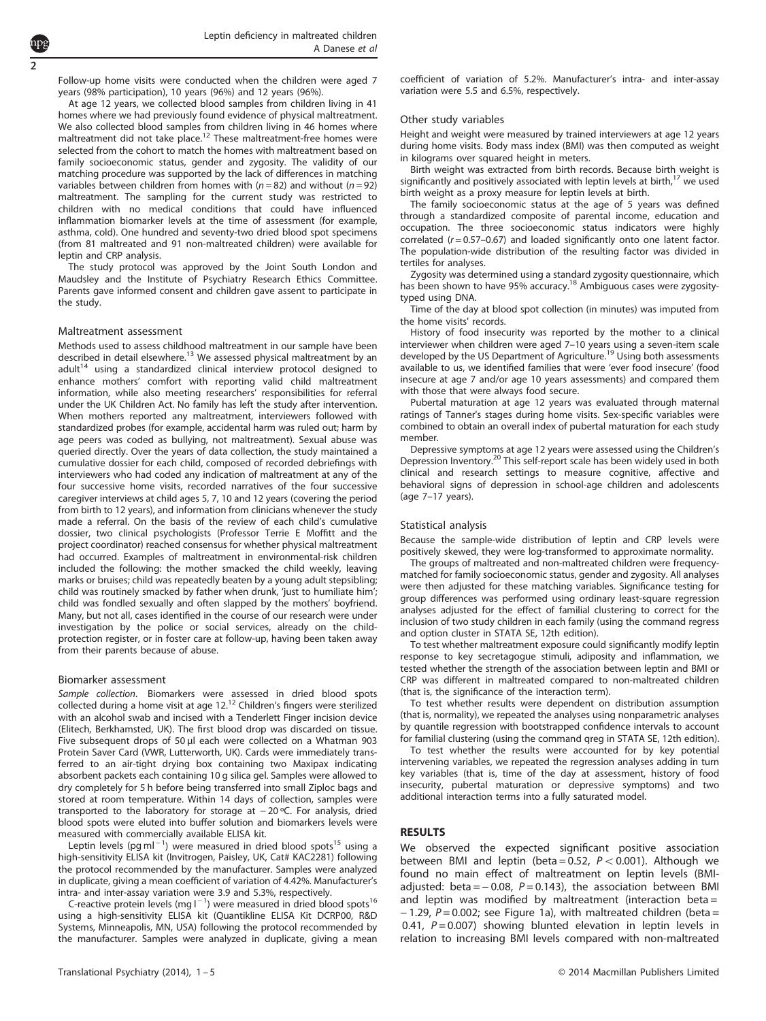Follow-up home visits were conducted when the children were aged 7 years (98% participation), 10 years (96%) and 12 years (96%).

At age 12 years, we collected blood samples from children living in 41 homes where we had previously found evidence of physical maltreatment. We also collected blood samples from children living in 46 homes where maltreatment did not take place.<sup>12</sup> These maltreatment-free homes were selected from the cohort to match the homes with maltreatment based on family socioeconomic status, gender and zygosity. The validity of our matching procedure was supported by the lack of differences in matching variables between children from homes with ( $n = 82$ ) and without ( $n = 92$ ) maltreatment. The sampling for the current study was restricted to children with no medical conditions that could have influenced inflammation biomarker levels at the time of assessment (for example, asthma, cold). One hundred and seventy-two dried blood spot specimens (from 81 maltreated and 91 non-maltreated children) were available for leptin and CRP analysis.

The study protocol was approved by the Joint South London and Maudsley and the Institute of Psychiatry Research Ethics Committee. Parents gave informed consent and children gave assent to participate in the study.

#### Maltreatment assessment

2

Methods used to assess childhood maltreatment in our sample have been described in detail elsewhere.<sup>[13](#page-4-0)</sup> We assessed physical maltreatment by an  $adult<sup>14</sup>$  using a standardized clinical interview protocol designed to enhance mothers' comfort with reporting valid child maltreatment information, while also meeting researchers' responsibilities for referral under the UK Children Act. No family has left the study after intervention. When mothers reported any maltreatment, interviewers followed with standardized probes (for example, accidental harm was ruled out; harm by age peers was coded as bullying, not maltreatment). Sexual abuse was queried directly. Over the years of data collection, the study maintained a cumulative dossier for each child, composed of recorded debriefings with interviewers who had coded any indication of maltreatment at any of the four successive home visits, recorded narratives of the four successive caregiver interviews at child ages 5, 7, 10 and 12 years (covering the period from birth to 12 years), and information from clinicians whenever the study made a referral. On the basis of the review of each child's cumulative dossier, two clinical psychologists (Professor Terrie E Moffitt and the project coordinator) reached consensus for whether physical maltreatment had occurred. Examples of maltreatment in environmental-risk children included the following: the mother smacked the child weekly, leaving marks or bruises; child was repeatedly beaten by a young adult stepsibling; child was routinely smacked by father when drunk, 'just to humiliate him'; child was fondled sexually and often slapped by the mothers' boyfriend. Many, but not all, cases identified in the course of our research were under investigation by the police or social services, already on the childprotection register, or in foster care at follow-up, having been taken away from their parents because of abuse.

#### Biomarker assessment

Sample collection. Biomarkers were assessed in dried blood spots<br>collected during a home visit at age 12.<sup>12</sup> Children's fingers were sterilized with an alcohol swab and incised with a Tenderlett Finger incision device (Elitech, Berkhamsted, UK). The first blood drop was discarded on tissue. Five subsequent drops of 50 µl each were collected on a Whatman 903 Protein Saver Card (VWR, Lutterworth, UK). Cards were immediately transferred to an air-tight drying box containing two Maxipax indicating absorbent packets each containing 10 g silica gel. Samples were allowed to dry completely for 5 h before being transferred into small Ziploc bags and stored at room temperature. Within 14 days of collection, samples were transported to the laboratory for storage at − 20 ºC. For analysis, dried blood spots were eluted into buffer solution and biomarkers levels were measured with commercially available ELISA kit.

Leptin levels (pg ml<sup>-1</sup>) were measured in dried blood spots<sup>15</sup> using a high-sensitivity ELISA kit (Invitrogen, Paisley, UK, Cat# KAC2281) following the protocol recommended by the manufacturer. Samples were analyzed in duplicate, giving a mean coefficient of variation of 4.42%. Manufacturer's intra- and inter-assay variation were 3.9 and 5.3%, respectively.

C-reactive protein levels (mg  $I^{-1}$ ) were measured in dried blood spots<sup>16</sup> using a high-sensitivity ELISA kit (Quantikline ELISA Kit DCRP00, R&D Systems, Minneapolis, MN, USA) following the protocol recommended by the manufacturer. Samples were analyzed in duplicate, giving a mean coefficient of variation of 5.2%. Manufacturer's intra- and inter-assay variation were 5.5 and 6.5%, respectively.

### Other study variables

Height and weight were measured by trained interviewers at age 12 years during home visits. Body mass index (BMI) was then computed as weight in kilograms over squared height in meters.

Birth weight was extracted from birth records. Because birth weight is significantly and positively associated with leptin levels at birth, $17$  we used birth weight as a proxy measure for leptin levels at birth.

The family socioeconomic status at the age of 5 years was defined through a standardized composite of parental income, education and occupation. The three socioeconomic status indicators were highly correlated  $(r = 0.57 - 0.67)$  and loaded significantly onto one latent factor. The population-wide distribution of the resulting factor was divided in tertiles for analyses.

Zygosity was determined using a standard zygosity questionnaire, which has been shown to have 95% accuracy.<sup>[18](#page-4-0)</sup> Ambiguous cases were zygositytyped using DNA.

Time of the day at blood spot collection (in minutes) was imputed from the home visits' records.

History of food insecurity was reported by the mother to a clinical interviewer when children were aged 7–10 years using a seven-item scale developed by the US Department of Agriculture.<sup>[19](#page-4-0)</sup> Using both assessments available to us, we identified families that were 'ever food insecure' (food insecure at age 7 and/or age 10 years assessments) and compared them with those that were always food secure.

Pubertal maturation at age 12 years was evaluated through maternal ratings of Tanner's stages during home visits. Sex-specific variables were combined to obtain an overall index of pubertal maturation for each study member.

Depressive symptoms at age 12 years were assessed using the Children's Depression Inventory.[20](#page-4-0) This self-report scale has been widely used in both clinical and research settings to measure cognitive, affective and behavioral signs of depression in school-age children and adolescents (age 7–17 years).

#### Statistical analysis

Because the sample-wide distribution of leptin and CRP levels were positively skewed, they were log-transformed to approximate normality.

The groups of maltreated and non-maltreated children were frequencymatched for family socioeconomic status, gender and zygosity. All analyses were then adjusted for these matching variables. Significance testing for group differences was performed using ordinary least-square regression analyses adjusted for the effect of familial clustering to correct for the inclusion of two study children in each family (using the command regress and option cluster in STATA SE, 12th edition).

To test whether maltreatment exposure could significantly modify leptin response to key secretagogue stimuli, adiposity and inflammation, we tested whether the strength of the association between leptin and BMI or CRP was different in maltreated compared to non-maltreated children (that is, the significance of the interaction term).

To test whether results were dependent on distribution assumption (that is, normality), we repeated the analyses using nonparametric analyses by quantile regression with bootstrapped confidence intervals to account for familial clustering (using the command qreg in STATA SE, 12th edition).

To test whether the results were accounted for by key potential intervening variables, we repeated the regression analyses adding in turn key variables (that is, time of the day at assessment, history of food insecurity, pubertal maturation or depressive symptoms) and two additional interaction terms into a fully saturated model.

#### **RESULTS**

We observed the expected significant positive association between BMI and leptin (beta = 0.52,  $P < 0.001$ ). Although we found no main effect of maltreatment on leptin levels (BMIadjusted: beta =  $-0.08$ ,  $P = 0.143$ ), the association between BMI and leptin was modified by maltreatment (interaction beta  $=$  $-1.29$ ,  $P = 0.002$ ; see [Figure 1a](#page-2-0)), with maltreated children (beta = 0.41,  $P = 0.007$ ) showing blunted elevation in leptin levels in relation to increasing BMI levels compared with non-maltreated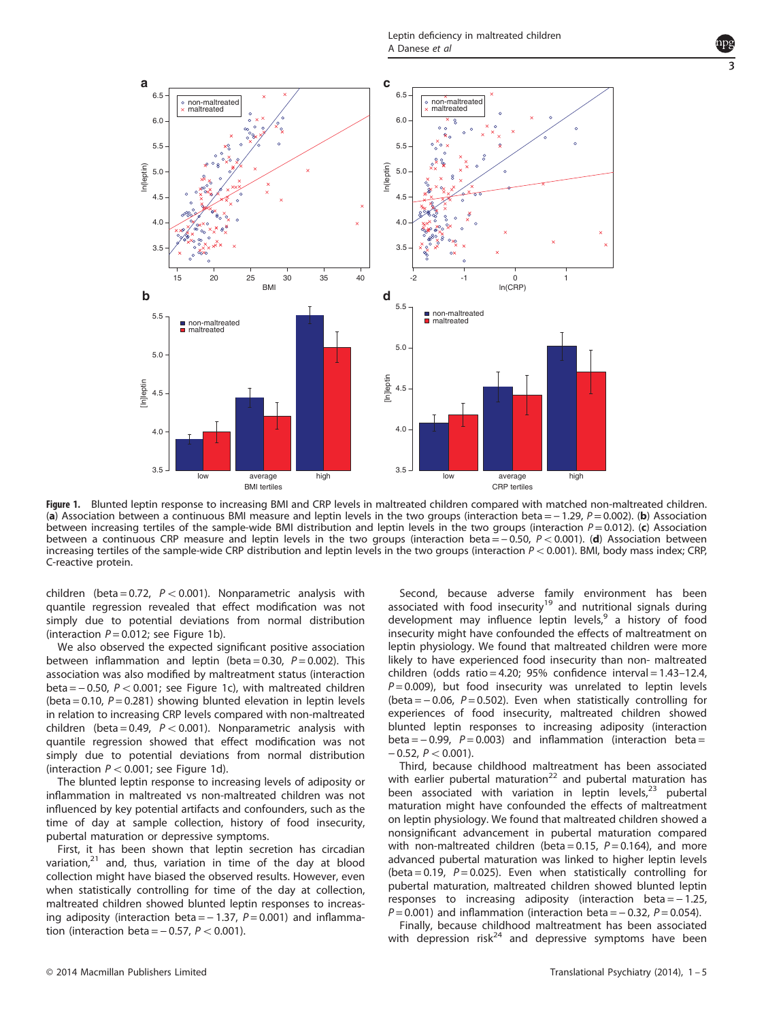Leptin deficiency in maltreated children A Danese et al

3

<span id="page-2-0"></span>

Figure 1. Blunted leptin response to increasing BMI and CRP levels in maltreated children compared with matched non-maltreated children. (a) Association between a continuous BMI measure and leptin levels in the two groups (interaction beta =  $-1.29$ ,  $P = 0.002$ ). (b) Association between increasing tertiles of the sample-wide BMI distribution and leptin levels in the two groups (interaction  $P = 0.012$ ). (c) Association between a continuous CRP measure and leptin levels in the two groups (interaction beta=−0.50,  $P < 0.001$ ). (d) Association between increasing tertiles of the sample-wide CRP distribution and leptin levels in the two groups (interaction  $P < 0.001$ ). BMI, body mass index; CRP, C-reactive protein.

children (beta = 0.72,  $P < 0.001$ ). Nonparametric analysis with quantile regression revealed that effect modification was not simply due to potential deviations from normal distribution (interaction  $P = 0.012$ ; see Figure 1b).

We also observed the expected significant positive association between inflammation and leptin (beta = 0.30,  $P = 0.002$ ). This association was also modified by maltreatment status (interaction beta =  $-0.50$ ,  $P < 0.001$ ; see Figure 1c), with maltreated children (beta = 0.10,  $P = 0.281$ ) showing blunted elevation in leptin levels in relation to increasing CRP levels compared with non-maltreated children (beta = 0.49,  $P < 0.001$ ). Nonparametric analysis with quantile regression showed that effect modification was not simply due to potential deviations from normal distribution (interaction  $P < 0.001$ ; see Figure 1d).

The blunted leptin response to increasing levels of adiposity or inflammation in maltreated vs non-maltreated children was not influenced by key potential artifacts and confounders, such as the time of day at sample collection, history of food insecurity, pubertal maturation or depressive symptoms.

First, it has been shown that leptin secretion has circadian variation, $21$  and, thus, variation in time of the day at blood collection might have biased the observed results. However, even when statistically controlling for time of the day at collection, maltreated children showed blunted leptin responses to increasing adiposity (interaction beta =  $-1.37$ ,  $P = 0.001$ ) and inflammation (interaction beta =  $-0.57$ ,  $P < 0.001$ ).

Second, because adverse family environment has been associated with food insecurity<sup>[19](#page-4-0)</sup> and nutritional signals during development may influence leptin levels,<sup>[9](#page-4-0)</sup> a history of food insecurity might have confounded the effects of maltreatment on leptin physiology. We found that maltreated children were more likely to have experienced food insecurity than non- maltreated children (odds ratio = 4.20; 95% confidence interval =  $1.43-12.4$ ,  $P = 0.009$ ), but food insecurity was unrelated to leptin levels (beta = − 0.06, P = 0.502). Even when statistically controlling for experiences of food insecurity, maltreated children showed blunted leptin responses to increasing adiposity (interaction beta =  $-0.99$ ,  $P = 0.003$ ) and inflammation (interaction beta =  $-0.52, P < 0.001$ ).

Third, because childhood maltreatment has been associated with earlier pubertal maturation<sup>[22](#page-4-0)</sup> and pubertal maturation has been associated with variation in leptin levels, $23$  pubertal maturation might have confounded the effects of maltreatment on leptin physiology. We found that maltreated children showed a nonsignificant advancement in pubertal maturation compared with non-maltreated children (beta = 0.15,  $P = 0.164$ ), and more advanced pubertal maturation was linked to higher leptin levels (beta = 0.19,  $P = 0.025$ ). Even when statistically controlling for pubertal maturation, maltreated children showed blunted leptin responses to increasing adiposity (interaction beta = − 1.25,  $P = 0.001$ ) and inflammation (interaction beta =  $-0.32$ ,  $P = 0.054$ ).

Finally, because childhood maltreatment has been associated with depression risk<sup>[24](#page-4-0)</sup> and depressive symptoms have been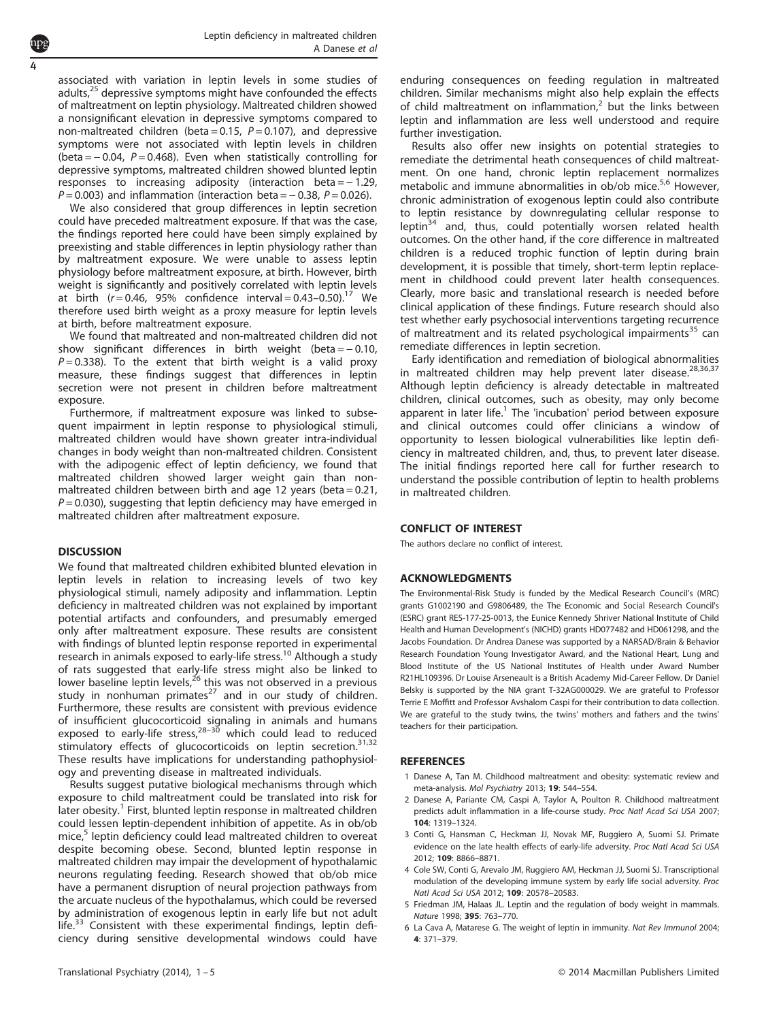associated with variation in leptin levels in some studies of adults.<sup>[25](#page-4-0)</sup> depressive symptoms might have confounded the effects of maltreatment on leptin physiology. Maltreated children showed a nonsignificant elevation in depressive symptoms compared to non-maltreated children (beta = 0.15,  $P = 0.107$ ), and depressive symptoms were not associated with leptin levels in children (beta = − 0.04, P = 0.468). Even when statistically controlling for depressive symptoms, maltreated children showed blunted leptin responses to increasing adiposity (interaction beta = − 1.29,  $P = 0.003$ ) and inflammation (interaction beta =  $-0.38$ ,  $P = 0.026$ ).

We also considered that group differences in leptin secretion could have preceded maltreatment exposure. If that was the case, the findings reported here could have been simply explained by preexisting and stable differences in leptin physiology rather than by maltreatment exposure. We were unable to assess leptin physiology before maltreatment exposure, at birth. However, birth weight is significantly and positively correlated with leptin levels at birth  $(r = 0.46, 95\%$  confidence interval = 0.43-0.50).<sup>[17](#page-4-0)</sup> We therefore used birth weight as a proxy measure for leptin levels at birth, before maltreatment exposure.

We found that maltreated and non-maltreated children did not show significant differences in birth weight (beta = − 0.10,  $P = 0.338$ ). To the extent that birth weight is a valid proxy measure, these findings suggest that differences in leptin secretion were not present in children before maltreatment exposure.

Furthermore, if maltreatment exposure was linked to subsequent impairment in leptin response to physiological stimuli, maltreated children would have shown greater intra-individual changes in body weight than non-maltreated children. Consistent with the adipogenic effect of leptin deficiency, we found that maltreated children showed larger weight gain than nonmaltreated children between birth and age 12 years (beta = 0.21,  $P = 0.030$ ), suggesting that leptin deficiency may have emerged in maltreated children after maltreatment exposure.

## **DISCUSSION**

<span id="page-3-0"></span>4

We found that maltreated children exhibited blunted elevation in leptin levels in relation to increasing levels of two key physiological stimuli, namely adiposity and inflammation. Leptin deficiency in maltreated children was not explained by important potential artifacts and confounders, and presumably emerged only after maltreatment exposure. These results are consistent with findings of blunted leptin response reported in experimental research in animals exposed to early-life stress.<sup>[10](#page-4-0)</sup> Although a study of rats suggested that early-life stress might also be linked to lower baseline leptin levels, $^{26}$  $^{26}$  $^{26}$  this was not observed in a previous study in nonhuman primates $^{27}$  $^{27}$  $^{27}$  and in our study of children. Furthermore, these results are consistent with previous evidence of insufficient glucocorticoi[d sig](#page-4-0)naling in animals and humans exposed to early-life stress, $28-30$  which could lead to reduced stimulatory effects of glucocorticoids on leptin secretion.<sup>[31](#page-4-0),[32](#page-4-0)</sup> These results have implications for understanding pathophysiology and preventing disease in maltreated individuals.

Results suggest putative biological mechanisms through which exposure to child maltreatment could be translated into risk for later obesity.<sup>1</sup> First, blunted leptin response in maltreated children could lessen leptin-dependent inhibition of appetite. As in ob/ob mice,<sup>5</sup> leptin deficiency could lead maltreated children to overeat despite becoming obese. Second, blunted leptin response in maltreated children may impair the development of hypothalamic neurons regulating feeding. Research showed that ob/ob mice have a permanent disruption of neural projection pathways from the arcuate nucleus of the hypothalamus, which could be reversed by administration of exogenous leptin in early life but not adult life. $33$  Consistent with these experimental findings, leptin deficiency during sensitive developmental windows could have enduring consequences on feeding regulation in maltreated children. Similar mechanisms might also help explain the effects of child maltreatment on inflammation,<sup>2</sup> but the links between leptin and inflammation are less well understood and require further investigation.

Results also offer new insights on potential strategies to remediate the detrimental heath consequences of child maltreatment. On one hand, chronic leptin replacement normalizes metabolic and immune abnormalities in ob/ob mice.<sup>5,6</sup> However, chronic administration of exogenous leptin could also contribute to leptin resistance by downregulating cellular response to leptin $34$  and, thus, could potentially worsen related health outcomes. On the other hand, if the core difference in maltreated children is a reduced trophic function of leptin during brain development, it is possible that timely, short-term leptin replacement in childhood could prevent later health consequences. Clearly, more basic and translational research is needed before clinical application of these findings. Future research should also test whether early psychosocial interventions targeting recurrence of maltreatment and its related psychological impairments<sup>[35](#page-4-0)</sup> can remediate differences in leptin secretion.

Early identification and remediation of biological abnormalities in maltreated children may help prevent later disease.<sup>28,36,[37](#page-4-0)</sup> Although leptin deficiency is already detectable in maltreated children, clinical outcomes, such as obesity, may only become apparent in later life. $1$  The 'incubation' period between exposure and clinical outcomes could offer clinicians a window of opportunity to lessen biological vulnerabilities like leptin deficiency in maltreated children, and, thus, to prevent later disease. The initial findings reported here call for further research to understand the possible contribution of leptin to health problems in maltreated children.

## CONFLICT OF INTEREST

The authors declare no conflict of interest.

## ACKNOWLEDGMENTS

The Environmental-Risk Study is funded by the Medical Research Council's (MRC) grants G1002190 and G9806489, the The Economic and Social Research Council's (ESRC) grant RES-177-25-0013, the Eunice Kennedy Shriver National Institute of Child Health and Human Development's (NICHD) grants HD077482 and HD061298, and the Jacobs Foundation. Dr Andrea Danese was supported by a NARSAD/Brain & Behavior Research Foundation Young Investigator Award, and the National Heart, Lung and Blood Institute of the US National Institutes of Health under Award Number R21HL109396. Dr Louise Arseneault is a British Academy Mid-Career Fellow. Dr Daniel Belsky is supported by the NIA grant T-32AG000029. We are grateful to Professor Terrie E Moffitt and Professor Avshalom Caspi for their contribution to data collection. We are grateful to the study twins, the twins' mothers and fathers and the twins' teachers for their participation.

## REFERENCES

- 1 Danese A, Tan M. Childhood maltreatment and obesity: systematic review and meta-analysis. Mol Psychiatry 2013; 19: 544–554.
- 2 Danese A, Pariante CM, Caspi A, Taylor A, Poulton R. Childhood maltreatment predicts adult inflammation in a life-course study. Proc Natl Acad Sci USA 2007; 104: 1319–1324.
- 3 Conti G, Hansman C, Heckman JJ, Novak MF, Ruggiero A, Suomi SJ. Primate evidence on the late health effects of early-life adversity. Proc Natl Acad Sci USA 2012; 109: 8866–8871.
- 4 Cole SW, Conti G, Arevalo JM, Ruggiero AM, Heckman JJ, Suomi SJ. Transcriptional modulation of the developing immune system by early life social adversity. Proc Natl Acad Sci USA 2012; 109: 20578–20583.
- 5 Friedman JM, Halaas JL. Leptin and the regulation of body weight in mammals. Nature 1998; 395: 763–770.
- 6 La Cava A, Matarese G. The weight of leptin in immunity. Nat Rev Immunol 2004; 4: 371–379.